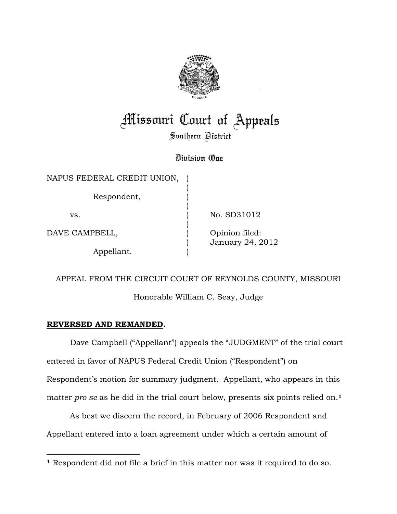

## **Missouri Court of Appeals**

Southern District

## Division One

| NAPUS FEDERAL CREDIT UNION, |                                    |
|-----------------------------|------------------------------------|
| Respondent,                 |                                    |
| VS.                         | No. SD31012                        |
| DAVE CAMPBELL,              | Opinion filed:<br>January 24, 2012 |
| Appellant.                  |                                    |

## APPEAL FROM THE CIRCUIT COURT OF REYNOLDS COUNTY, MISSOURI

Honorable William C. Seay, Judge

## **REVERSED AND REMANDED.**

 Dave Campbell ("Appellant") appeals the "JUDGMENT" of the trial court entered in favor of NAPUS Federal Credit Union ("Respondent") on Respondent's motion for summary judgment. Appellant, who appears in this matter *pro se* as he did in the trial court below, presents six points relied on.**<sup>1</sup>**

 As best we discern the record, in February of 2006 Respondent and Appellant entered into a loan agreement under which a certain amount of

<sup>-</sup>**<sup>1</sup>** Respondent did not file a brief in this matter nor was it required to do so.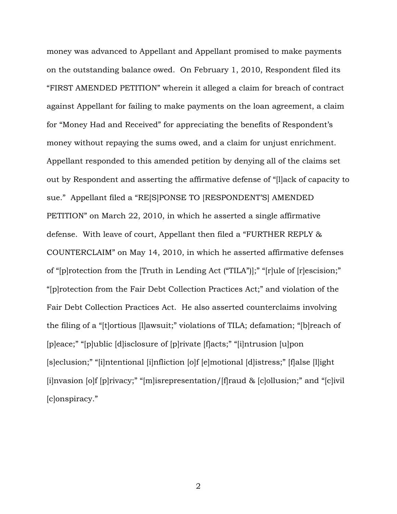money was advanced to Appellant and Appellant promised to make payments on the outstanding balance owed. On February 1, 2010, Respondent filed its "FIRST AMENDED PETITION" wherein it alleged a claim for breach of contract against Appellant for failing to make payments on the loan agreement, a claim for "Money Had and Received" for appreciating the benefits of Respondent's money without repaying the sums owed, and a claim for unjust enrichment. Appellant responded to this amended petition by denying all of the claims set out by Respondent and asserting the affirmative defense of "[l]ack of capacity to sue." Appellant filed a "RE[S]PONSE TO [RESPONDENT'S] AMENDED PETITION" on March 22, 2010, in which he asserted a single affirmative defense. With leave of court, Appellant then filed a "FURTHER REPLY & COUNTERCLAIM" on May 14, 2010, in which he asserted affirmative defenses of "[p]rotection from the [Truth in Lending Act ("TILA")];" "[r]ule of [r]escision;" "[p]rotection from the Fair Debt Collection Practices Act;" and violation of the Fair Debt Collection Practices Act. He also asserted counterclaims involving the filing of a "[t]ortious [l]awsuit;" violations of TILA; defamation; "[b]reach of [p]eace;" "[p]ublic [d]isclosure of [p]rivate [f]acts;" "[i]ntrusion [u]pon [s]eclusion;" "[i]ntentional [i]nfliction [o]f [e]motional [d]istress;" [f]alse [l]ight [i]nvasion [o]f [p]rivacy;" "[m]isrepresentation/[f]raud & [c]ollusion;" and "[c]ivil [c]onspiracy."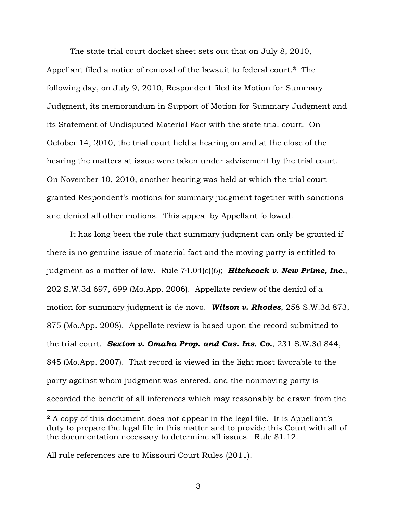The state trial court docket sheet sets out that on July 8, 2010, Appellant filed a notice of removal of the lawsuit to federal court.**<sup>2</sup>** The following day, on July 9, 2010, Respondent filed its Motion for Summary Judgment, its memorandum in Support of Motion for Summary Judgment and its Statement of Undisputed Material Fact with the state trial court. On October 14, 2010, the trial court held a hearing on and at the close of the hearing the matters at issue were taken under advisement by the trial court. On November 10, 2010, another hearing was held at which the trial court granted Respondent's motions for summary judgment together with sanctions and denied all other motions. This appeal by Appellant followed.

It has long been the rule that summary judgment can only be granted if there is no genuine issue of material fact and the moving party is entitled to judgment as a matter of law. Rule 74.04(c)(6); *Hitchcock v. New Prime, Inc.*, 202 S.W.3d 697, 699 (Mo.App. 2006). Appellate review of the denial of a motion for summary judgment is de novo. *Wilson v. Rhodes*, 258 S.W.3d 873, 875 (Mo.App. 2008). Appellate review is based upon the record submitted to the trial court. *Sexton v. Omaha Prop. and Cas. Ins. Co.*, 231 S.W.3d 844, 845 (Mo.App. 2007). That record is viewed in the light most favorable to the party against whom judgment was entered, and the nonmoving party is accorded the benefit of all inferences which may reasonably be drawn from the  $\overline{a}$ 

**<sup>2</sup>** A copy of this document does not appear in the legal file. It is Appellant's duty to prepare the legal file in this matter and to provide this Court with all of the documentation necessary to determine all issues. Rule 81.12.

All rule references are to Missouri Court Rules (2011).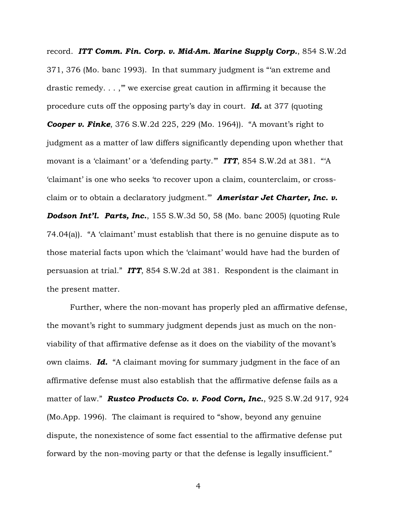record. *ITT Comm. Fin. Corp. v. Mid-Am. Marine Supply Corp.*, 854 S.W.2d 371, 376 (Mo. banc 1993). In that summary judgment is "'an extreme and drastic remedy. . . ,'" we exercise great caution in affirming it because the procedure cuts off the opposing party's day in court. *Id.* at 377 (quoting *Cooper v. Finke*, 376 S.W.2d 225, 229 (Mo. 1964)). "A movant's right to judgment as a matter of law differs significantly depending upon whether that movant is a 'claimant' or a 'defending party.'" *ITT*, 854 S.W.2d at 381. "'A 'claimant' is one who seeks 'to recover upon a claim, counterclaim, or crossclaim or to obtain a declaratory judgment.'" *Ameristar Jet Charter, Inc. v. Dodson Int'l. Parts, Inc.*, 155 S.W.3d 50, 58 (Mo. banc 2005) (quoting Rule 74.04(a)). "A 'claimant' must establish that there is no genuine dispute as to those material facts upon which the 'claimant' would have had the burden of persuasion at trial." *ITT*, 854 S.W.2d at 381. Respondent is the claimant in the present matter.

Further, where the non-movant has properly pled an affirmative defense, the movant's right to summary judgment depends just as much on the nonviability of that affirmative defense as it does on the viability of the movant's own claims. *Id.* "A claimant moving for summary judgment in the face of an affirmative defense must also establish that the affirmative defense fails as a matter of law." *Rustco Products Co. v. Food Corn, Inc.*, 925 S.W.2d 917, 924 (Mo.App. 1996). The claimant is required to "show, beyond any genuine dispute, the nonexistence of some fact essential to the affirmative defense put forward by the non-moving party or that the defense is legally insufficient."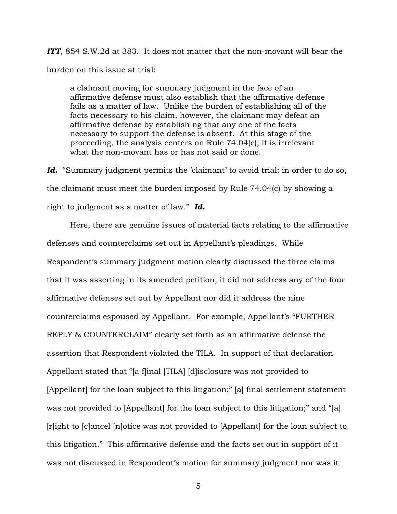*ITT*, 854 S.W.2d at 383. It does not matter that the non-movant will bear the burden on this issue at trial:

a claimant moving for summary judgment in the face of an affirmative defense must also establish that the affirmative defense fails as a matter of law. Unlike the burden of establishing all of the facts necessary to his claim, however, the claimant may defeat an affirmative defense by establishing that any one of the facts necessary to support the defense is absent. At this stage of the proceeding, the analysis centers on Rule 74.04(c); it is irrelevant what the non-movant has or has not said or done.

Id. "Summary judgment permits the 'claimant' to avoid trial; in order to do so, the claimant must meet the burden imposed by Rule 74.04(c) by showing a right to judgment as a matter of law." *Id.*

 Here, there are genuine issues of material facts relating to the affirmative defenses and counterclaims set out in Appellant's pleadings. While Respondent's summary judgment motion clearly discussed the three claims that it was asserting in its amended petition, it did not address any of the four affirmative defenses set out by Appellant nor did it address the nine counterclaims espoused by Appellant. For example, Appellant's "FURTHER REPLY & COUNTERCLAIM" clearly set forth as an affirmative defense the assertion that Respondent violated the TILA. In support of that declaration Appellant stated that "[a f]inal [TILA] [d]isclosure was not provided to [Appellant] for the loan subject to this litigation;" [a] final settlement statement was not provided to [Appellant] for the loan subject to this litigation;" and "[a] [r]ight to [c]ancel [n]otice was not provided to [Appellant] for the loan subject to this litigation." This affirmative defense and the facts set out in support of it was not discussed in Respondent's motion for summary judgment nor was it